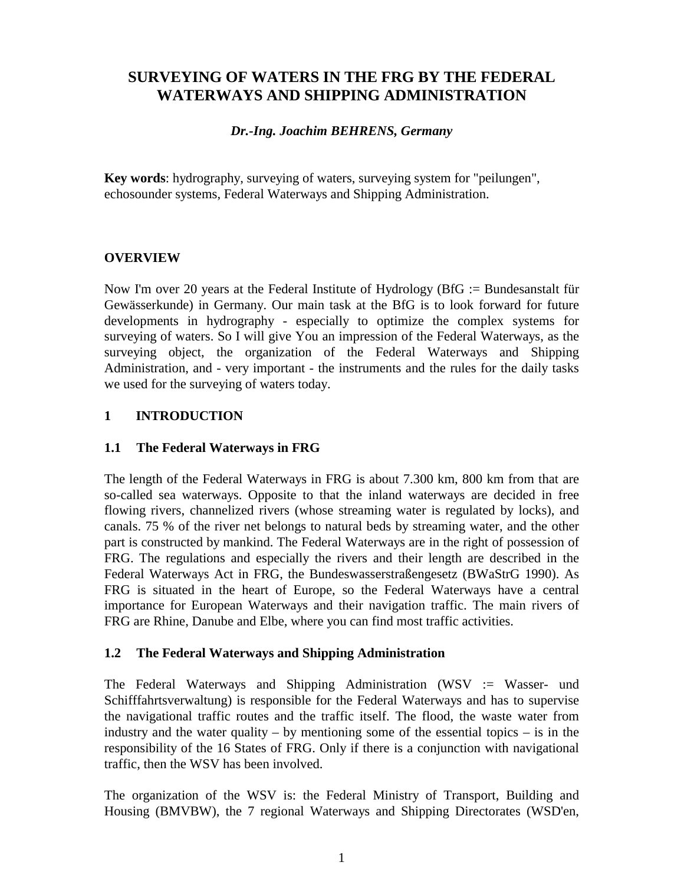# **SURVEYING OF WATERS IN THE FRG BY THE FEDERAL WATERWAYS AND SHIPPING ADMINISTRATION**

#### *Dr.-Ing. Joachim BEHRENS, Germany*

**Key words**: hydrography, surveying of waters, surveying system for "peilungen", echosounder systems, Federal Waterways and Shipping Administration.

# **OVERVIEW**

Now I'm over 20 years at the Federal Institute of Hydrology (BfG := Bundesanstalt für Gewässerkunde) in Germany. Our main task at the BfG is to look forward for future developments in hydrography - especially to optimize the complex systems for surveying of waters. So I will give You an impression of the Federal Waterways, as the surveying object, the organization of the Federal Waterways and Shipping Administration, and - very important - the instruments and the rules for the daily tasks we used for the surveying of waters today.

# **1 INTRODUCTION**

### **1.1 The Federal Waterways in FRG**

The length of the Federal Waterways in FRG is about 7.300 km, 800 km from that are so-called sea waterways. Opposite to that the inland waterways are decided in free flowing rivers, channelized rivers (whose streaming water is regulated by locks), and canals. 75 % of the river net belongs to natural beds by streaming water, and the other part is constructed by mankind. The Federal Waterways are in the right of possession of FRG. The regulations and especially the rivers and their length are described in the Federal Waterways Act in FRG, the Bundeswasserstraßengesetz (BWaStrG 1990). As FRG is situated in the heart of Europe, so the Federal Waterways have a central importance for European Waterways and their navigation traffic. The main rivers of FRG are Rhine, Danube and Elbe, where you can find most traffic activities.

### **1.2 The Federal Waterways and Shipping Administration**

The Federal Waterways and Shipping Administration (WSV := Wasser- und Schifffahrtsverwaltung) is responsible for the Federal Waterways and has to supervise the navigational traffic routes and the traffic itself. The flood, the waste water from industry and the water quality – by mentioning some of the essential topics – is in the responsibility of the 16 States of FRG. Only if there is a conjunction with navigational traffic, then the WSV has been involved.

The organization of the WSV is: the Federal Ministry of Transport, Building and Housing (BMVBW), the 7 regional Waterways and Shipping Directorates (WSD'en,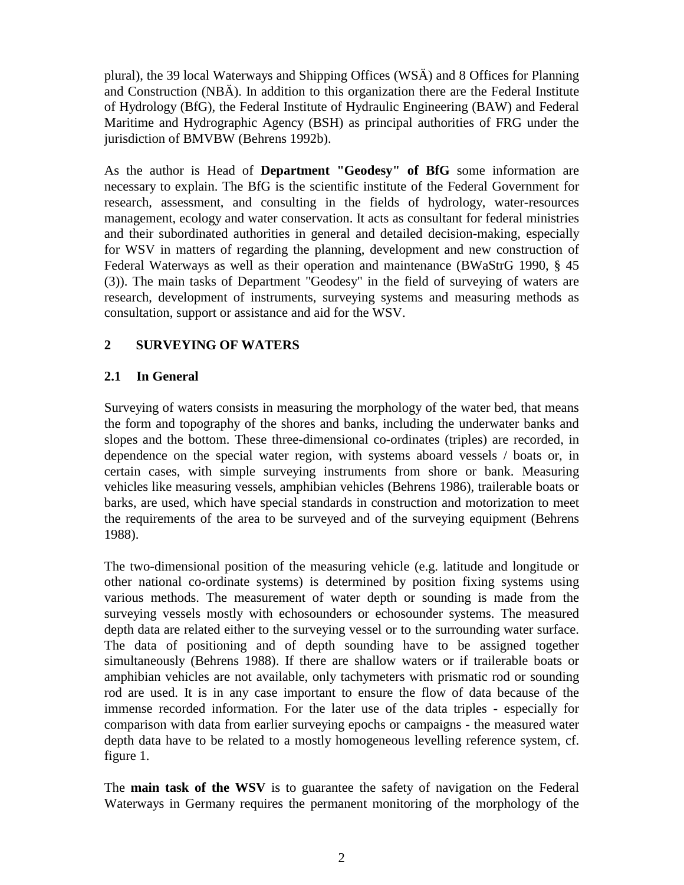plural), the 39 local Waterways and Shipping Offices (WSÄ) and 8 Offices for Planning and Construction (NBÄ). In addition to this organization there are the Federal Institute of Hydrology (BfG), the Federal Institute of Hydraulic Engineering (BAW) and Federal Maritime and Hydrographic Agency (BSH) as principal authorities of FRG under the jurisdiction of BMVBW (Behrens 1992b).

As the author is Head of **Department "Geodesy" of BfG** some information are necessary to explain. The BfG is the scientific institute of the Federal Government for research, assessment, and consulting in the fields of hydrology, water-resources management, ecology and water conservation. It acts as consultant for federal ministries and their subordinated authorities in general and detailed decision-making, especially for WSV in matters of regarding the planning, development and new construction of Federal Waterways as well as their operation and maintenance (BWaStrG 1990, § 45 (3)). The main tasks of Department "Geodesy" in the field of surveying of waters are research, development of instruments, surveying systems and measuring methods as consultation, support or assistance and aid for the WSV.

# **2 SURVEYING OF WATERS**

### **2.1 In General**

Surveying of waters consists in measuring the morphology of the water bed, that means the form and topography of the shores and banks, including the underwater banks and slopes and the bottom. These three-dimensional co-ordinates (triples) are recorded, in dependence on the special water region, with systems aboard vessels / boats or, in certain cases, with simple surveying instruments from shore or bank. Measuring vehicles like measuring vessels, amphibian vehicles (Behrens 1986), trailerable boats or barks, are used, which have special standards in construction and motorization to meet the requirements of the area to be surveyed and of the surveying equipment (Behrens 1988).

The two-dimensional position of the measuring vehicle (e.g. latitude and longitude or other national co-ordinate systems) is determined by position fixing systems using various methods. The measurement of water depth or sounding is made from the surveying vessels mostly with echosounders or echosounder systems. The measured depth data are related either to the surveying vessel or to the surrounding water surface. The data of positioning and of depth sounding have to be assigned together simultaneously (Behrens 1988). If there are shallow waters or if trailerable boats or amphibian vehicles are not available, only tachymeters with prismatic rod or sounding rod are used. It is in any case important to ensure the flow of data because of the immense recorded information. For the later use of the data triples - especially for comparison with data from earlier surveying epochs or campaigns - the measured water depth data have to be related to a mostly homogeneous levelling reference system, cf. figure 1.

The **main task of the WSV** is to guarantee the safety of navigation on the Federal Waterways in Germany requires the permanent monitoring of the morphology of the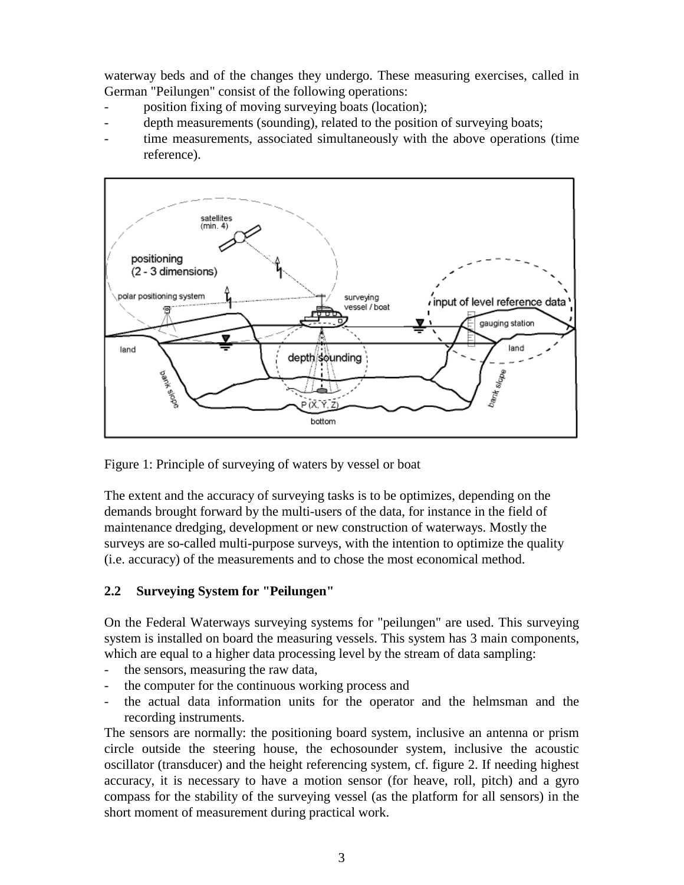waterway beds and of the changes they undergo. These measuring exercises, called in German "Peilungen" consist of the following operations:

- position fixing of moving surveying boats (location);
- depth measurements (sounding), related to the position of surveying boats;
- time measurements, associated simultaneously with the above operations (time reference).



Figure 1: Principle of surveying of waters by vessel or boat

The extent and the accuracy of surveying tasks is to be optimizes, depending on the demands brought forward by the multi-users of the data, for instance in the field of maintenance dredging, development or new construction of waterways. Mostly the surveys are so-called multi-purpose surveys, with the intention to optimize the quality (i.e. accuracy) of the measurements and to chose the most economical method.

### **2.2 Surveying System for "Peilungen"**

On the Federal Waterways surveying systems for "peilungen" are used. This surveying system is installed on board the measuring vessels. This system has 3 main components, which are equal to a higher data processing level by the stream of data sampling:

- the sensors, measuring the raw data,
- the computer for the continuous working process and
- the actual data information units for the operator and the helmsman and the recording instruments.

The sensors are normally: the positioning board system, inclusive an antenna or prism circle outside the steering house, the echosounder system, inclusive the acoustic oscillator (transducer) and the height referencing system, cf. figure 2. If needing highest accuracy, it is necessary to have a motion sensor (for heave, roll, pitch) and a gyro compass for the stability of the surveying vessel (as the platform for all sensors) in the short moment of measurement during practical work.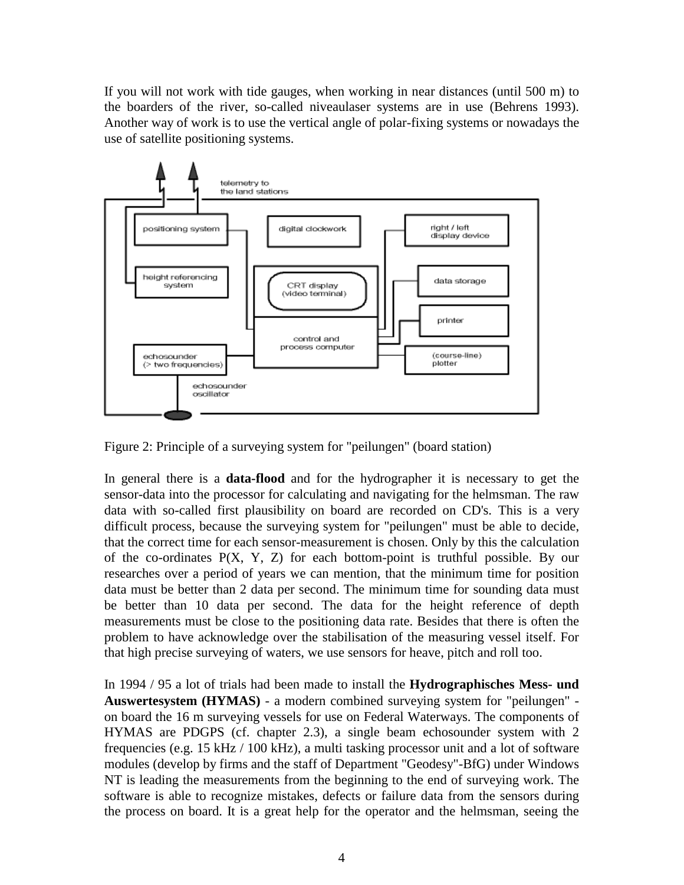If you will not work with tide gauges, when working in near distances (until 500 m) to the boarders of the river, so-called niveaulaser systems are in use (Behrens 1993). Another way of work is to use the vertical angle of polar-fixing systems or nowadays the use of satellite positioning systems.



Figure 2: Principle of a surveying system for "peilungen" (board station)

In general there is a **data-flood** and for the hydrographer it is necessary to get the sensor-data into the processor for calculating and navigating for the helmsman. The raw data with so-called first plausibility on board are recorded on CD's. This is a very difficult process, because the surveying system for "peilungen" must be able to decide, that the correct time for each sensor-measurement is chosen. Only by this the calculation of the co-ordinates P(X, Y, Z) for each bottom-point is truthful possible. By our researches over a period of years we can mention, that the minimum time for position data must be better than 2 data per second. The minimum time for sounding data must be better than 10 data per second. The data for the height reference of depth measurements must be close to the positioning data rate. Besides that there is often the problem to have acknowledge over the stabilisation of the measuring vessel itself. For that high precise surveying of waters, we use sensors for heave, pitch and roll too.

In 1994 / 95 a lot of trials had been made to install the **Hydrographisches Mess- und Auswertesystem (HYMAS)** - a modern combined surveying system for "peilungen" on board the 16 m surveying vessels for use on Federal Waterways. The components of HYMAS are PDGPS (cf. chapter 2.3), a single beam echosounder system with 2 frequencies (e.g. 15 kHz / 100 kHz), a multi tasking processor unit and a lot of software modules (develop by firms and the staff of Department "Geodesy"-BfG) under Windows NT is leading the measurements from the beginning to the end of surveying work. The software is able to recognize mistakes, defects or failure data from the sensors during the process on board. It is a great help for the operator and the helmsman, seeing the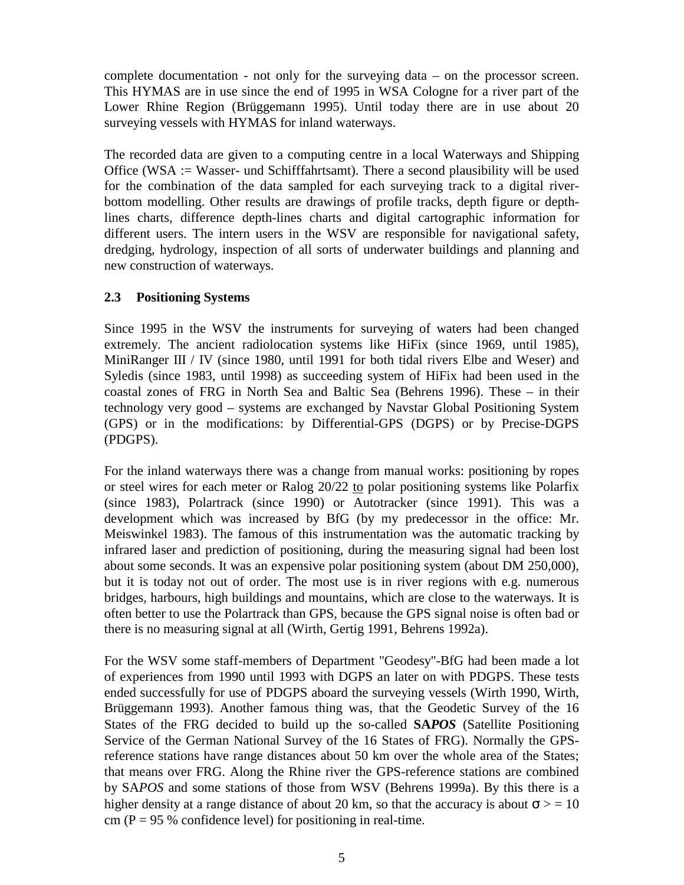complete documentation - not only for the surveying data – on the processor screen. This HYMAS are in use since the end of 1995 in WSA Cologne for a river part of the Lower Rhine Region (Brüggemann 1995). Until today there are in use about 20 surveying vessels with HYMAS for inland waterways.

The recorded data are given to a computing centre in a local Waterways and Shipping Office (WSA := Wasser- und Schifffahrtsamt). There a second plausibility will be used for the combination of the data sampled for each surveying track to a digital riverbottom modelling. Other results are drawings of profile tracks, depth figure or depthlines charts, difference depth-lines charts and digital cartographic information for different users. The intern users in the WSV are responsible for navigational safety, dredging, hydrology, inspection of all sorts of underwater buildings and planning and new construction of waterways.

#### **2.3 Positioning Systems**

Since 1995 in the WSV the instruments for surveying of waters had been changed extremely. The ancient radiolocation systems like HiFix (since 1969, until 1985), MiniRanger III / IV (since 1980, until 1991 for both tidal rivers Elbe and Weser) and Syledis (since 1983, until 1998) as succeeding system of HiFix had been used in the coastal zones of FRG in North Sea and Baltic Sea (Behrens 1996). These – in their technology very good – systems are exchanged by Navstar Global Positioning System (GPS) or in the modifications: by Differential-GPS (DGPS) or by Precise-DGPS (PDGPS).

For the inland waterways there was a change from manual works: positioning by ropes or steel wires for each meter or Ralog 20/22 to polar positioning systems like Polarfix (since 1983), Polartrack (since 1990) or Autotracker (since 1991). This was a development which was increased by BfG (by my predecessor in the office: Mr. Meiswinkel 1983). The famous of this instrumentation was the automatic tracking by infrared laser and prediction of positioning, during the measuring signal had been lost about some seconds. It was an expensive polar positioning system (about DM 250,000), but it is today not out of order. The most use is in river regions with e.g. numerous bridges, harbours, high buildings and mountains, which are close to the waterways. It is often better to use the Polartrack than GPS, because the GPS signal noise is often bad or there is no measuring signal at all (Wirth, Gertig 1991, Behrens 1992a).

For the WSV some staff-members of Department "Geodesy"-BfG had been made a lot of experiences from 1990 until 1993 with DGPS an later on with PDGPS. These tests ended successfully for use of PDGPS aboard the surveying vessels (Wirth 1990, Wirth, Brüggemann 1993). Another famous thing was, that the Geodetic Survey of the 16 States of the FRG decided to build up the so-called **SA***POS* (Satellite Positioning Service of the German National Survey of the 16 States of FRG). Normally the GPSreference stations have range distances about 50 km over the whole area of the States; that means over FRG. Along the Rhine river the GPS-reference stations are combined by SA*POS* and some stations of those from WSV (Behrens 1999a). By this there is a higher density at a range distance of about 20 km, so that the accuracy is about  $\sigma$  > = 10 cm ( $P = 95$ % confidence level) for positioning in real-time.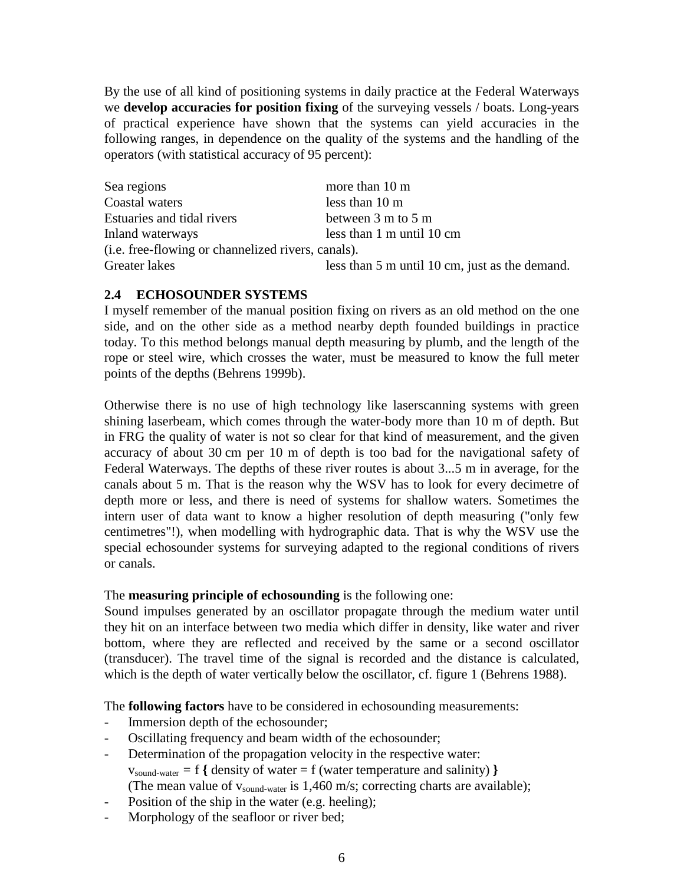By the use of all kind of positioning systems in daily practice at the Federal Waterways we **develop accuracies for position fixing** of the surveying vessels / boats. Long-years of practical experience have shown that the systems can yield accuracies in the following ranges, in dependence on the quality of the systems and the handling of the operators (with statistical accuracy of 95 percent):

| Sea regions                                        | more than 10 m                                 |
|----------------------------------------------------|------------------------------------------------|
| Coastal waters                                     | less than 10 m                                 |
| Estuaries and tidal rivers                         | between 3 m to 5 m                             |
| Inland waterways                                   | less than 1 m until 10 cm                      |
| (i.e. free-flowing or channelized rivers, canals). |                                                |
| Greater lakes                                      | less than 5 m until 10 cm, just as the demand. |

#### **2.4 ECHOSOUNDER SYSTEMS**

I myself remember of the manual position fixing on rivers as an old method on the one side, and on the other side as a method nearby depth founded buildings in practice today. To this method belongs manual depth measuring by plumb, and the length of the rope or steel wire, which crosses the water, must be measured to know the full meter points of the depths (Behrens 1999b).

Otherwise there is no use of high technology like laserscanning systems with green shining laserbeam, which comes through the water-body more than 10 m of depth. But in FRG the quality of water is not so clear for that kind of measurement, and the given accuracy of about 30 cm per 10 m of depth is too bad for the navigational safety of Federal Waterways. The depths of these river routes is about 3...5 m in average, for the canals about 5 m. That is the reason why the WSV has to look for every decimetre of depth more or less, and there is need of systems for shallow waters. Sometimes the intern user of data want to know a higher resolution of depth measuring ("only few centimetres"!), when modelling with hydrographic data. That is why the WSV use the special echosounder systems for surveying adapted to the regional conditions of rivers or canals.

#### The **measuring principle of echosounding** is the following one:

Sound impulses generated by an oscillator propagate through the medium water until they hit on an interface between two media which differ in density, like water and river bottom, where they are reflected and received by the same or a second oscillator (transducer). The travel time of the signal is recorded and the distance is calculated, which is the depth of water vertically below the oscillator, cf. figure 1 (Behrens 1988).

The **following factors** have to be considered in echosounding measurements:

- Immersion depth of the echosounder;
- Oscillating frequency and beam width of the echosounder;
- Determination of the propagation velocity in the respective water:  $v_{sound-water} = f \{$  density of water = f (water temperature and salinity)  $\}$ (The mean value of  $v_{sound-water}$  is 1,460 m/s; correcting charts are available);
- Position of the ship in the water (e.g. heeling);
- Morphology of the seafloor or river bed;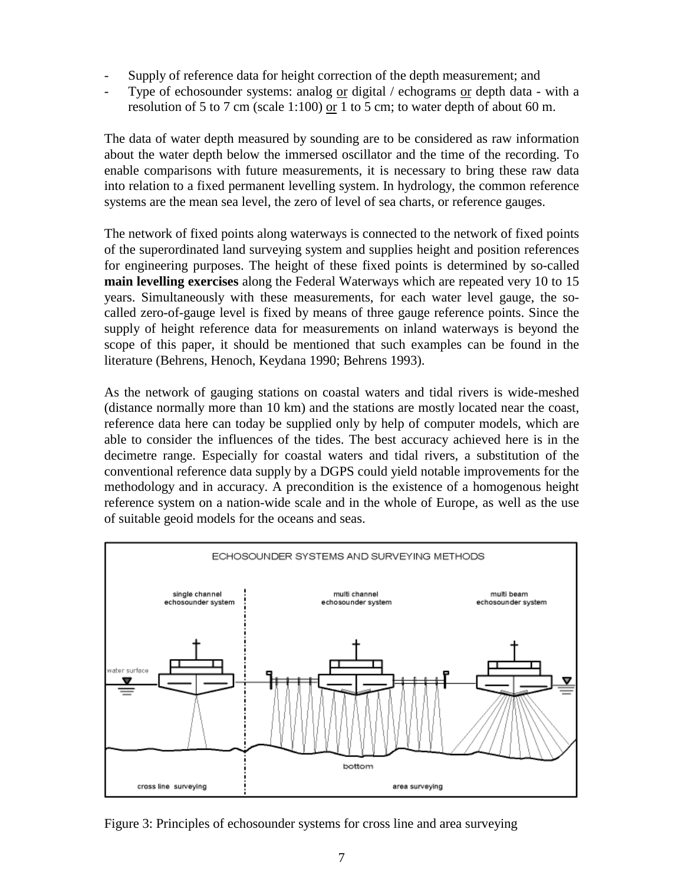- Supply of reference data for height correction of the depth measurement; and
- Type of echosounder systems: analog  $or$  digital / echograms  $or$  depth data with a</u></u> resolution of 5 to 7 cm (scale 1:100) or 1 to 5 cm; to water depth of about 60 m.

The data of water depth measured by sounding are to be considered as raw information about the water depth below the immersed oscillator and the time of the recording. To enable comparisons with future measurements, it is necessary to bring these raw data into relation to a fixed permanent levelling system. In hydrology, the common reference systems are the mean sea level, the zero of level of sea charts, or reference gauges.

The network of fixed points along waterways is connected to the network of fixed points of the superordinated land surveying system and supplies height and position references for engineering purposes. The height of these fixed points is determined by so-called **main levelling exercises** along the Federal Waterways which are repeated very 10 to 15 years. Simultaneously with these measurements, for each water level gauge, the socalled zero-of-gauge level is fixed by means of three gauge reference points. Since the supply of height reference data for measurements on inland waterways is beyond the scope of this paper, it should be mentioned that such examples can be found in the literature (Behrens, Henoch, Keydana 1990; Behrens 1993).

As the network of gauging stations on coastal waters and tidal rivers is wide-meshed (distance normally more than 10 km) and the stations are mostly located near the coast, reference data here can today be supplied only by help of computer models, which are able to consider the influences of the tides. The best accuracy achieved here is in the decimetre range. Especially for coastal waters and tidal rivers, a substitution of the conventional reference data supply by a DGPS could yield notable improvements for the methodology and in accuracy. A precondition is the existence of a homogenous height reference system on a nation-wide scale and in the whole of Europe, as well as the use of suitable geoid models for the oceans and seas.

![](_page_6_Figure_5.jpeg)

Figure 3: Principles of echosounder systems for cross line and area surveying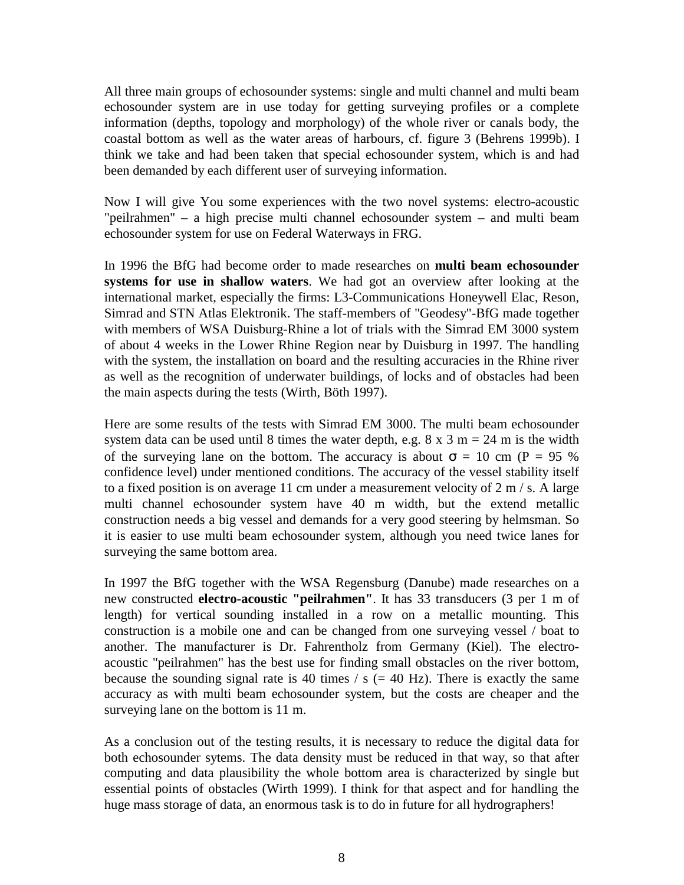All three main groups of echosounder systems: single and multi channel and multi beam echosounder system are in use today for getting surveying profiles or a complete information (depths, topology and morphology) of the whole river or canals body, the coastal bottom as well as the water areas of harbours, cf. figure 3 (Behrens 1999b). I think we take and had been taken that special echosounder system, which is and had been demanded by each different user of surveying information.

Now I will give You some experiences with the two novel systems: electro-acoustic "peilrahmen" – a high precise multi channel echosounder system – and multi beam echosounder system for use on Federal Waterways in FRG.

In 1996 the BfG had become order to made researches on **multi beam echosounder systems for use in shallow waters**. We had got an overview after looking at the international market, especially the firms: L3-Communications Honeywell Elac, Reson, Simrad and STN Atlas Elektronik. The staff-members of "Geodesy"-BfG made together with members of WSA Duisburg-Rhine a lot of trials with the Simrad EM 3000 system of about 4 weeks in the Lower Rhine Region near by Duisburg in 1997. The handling with the system, the installation on board and the resulting accuracies in the Rhine river as well as the recognition of underwater buildings, of locks and of obstacles had been the main aspects during the tests (Wirth, Böth 1997).

Here are some results of the tests with Simrad EM 3000. The multi beam echosounder system data can be used until 8 times the water depth, e.g.  $8 \times 3$  m = 24 m is the width of the surveying lane on the bottom. The accuracy is about  $\sigma = 10$  cm (P = 95 %) confidence level) under mentioned conditions. The accuracy of the vessel stability itself to a fixed position is on average 11 cm under a measurement velocity of  $2 \text{ m}$  / s. A large multi channel echosounder system have 40 m width, but the extend metallic construction needs a big vessel and demands for a very good steering by helmsman. So it is easier to use multi beam echosounder system, although you need twice lanes for surveying the same bottom area.

In 1997 the BfG together with the WSA Regensburg (Danube) made researches on a new constructed **electro-acoustic "peilrahmen"**. It has 33 transducers (3 per 1 m of length) for vertical sounding installed in a row on a metallic mounting. This construction is a mobile one and can be changed from one surveying vessel / boat to another. The manufacturer is Dr. Fahrentholz from Germany (Kiel). The electroacoustic "peilrahmen" has the best use for finding small obstacles on the river bottom, because the sounding signal rate is 40 times  $\ell$  s (= 40 Hz). There is exactly the same accuracy as with multi beam echosounder system, but the costs are cheaper and the surveying lane on the bottom is 11 m.

As a conclusion out of the testing results, it is necessary to reduce the digital data for both echosounder sytems. The data density must be reduced in that way, so that after computing and data plausibility the whole bottom area is characterized by single but essential points of obstacles (Wirth 1999). I think for that aspect and for handling the huge mass storage of data, an enormous task is to do in future for all hydrographers!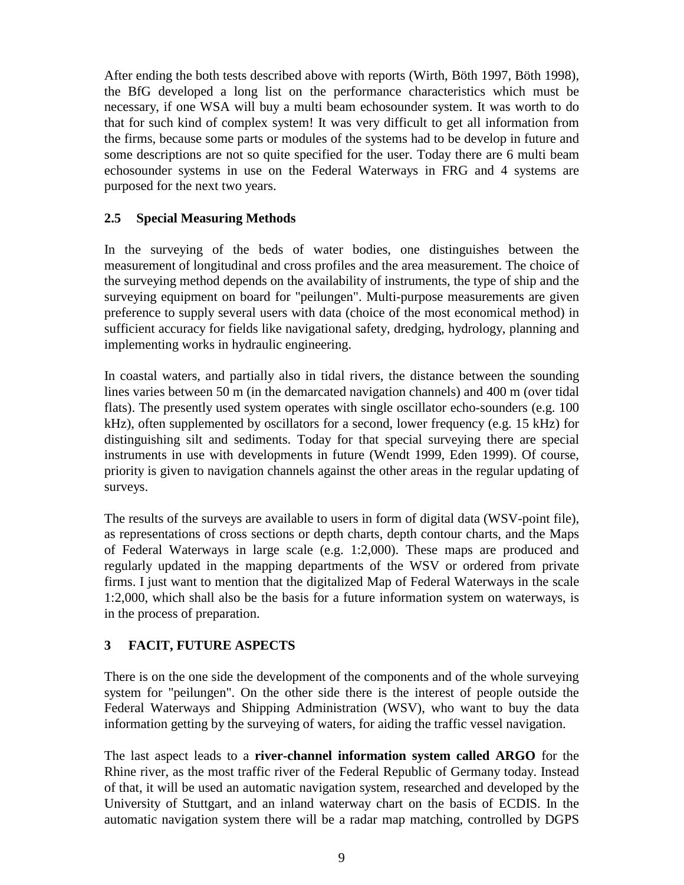After ending the both tests described above with reports (Wirth, Böth 1997, Böth 1998), the BfG developed a long list on the performance characteristics which must be necessary, if one WSA will buy a multi beam echosounder system. It was worth to do that for such kind of complex system! It was very difficult to get all information from the firms, because some parts or modules of the systems had to be develop in future and some descriptions are not so quite specified for the user. Today there are 6 multi beam echosounder systems in use on the Federal Waterways in FRG and 4 systems are purposed for the next two years.

### **2.5 Special Measuring Methods**

In the surveying of the beds of water bodies, one distinguishes between the measurement of longitudinal and cross profiles and the area measurement. The choice of the surveying method depends on the availability of instruments, the type of ship and the surveying equipment on board for "peilungen". Multi-purpose measurements are given preference to supply several users with data (choice of the most economical method) in sufficient accuracy for fields like navigational safety, dredging, hydrology, planning and implementing works in hydraulic engineering.

In coastal waters, and partially also in tidal rivers, the distance between the sounding lines varies between 50 m (in the demarcated navigation channels) and 400 m (over tidal flats). The presently used system operates with single oscillator echo-sounders (e.g. 100 kHz), often supplemented by oscillators for a second, lower frequency (e.g. 15 kHz) for distinguishing silt and sediments. Today for that special surveying there are special instruments in use with developments in future (Wendt 1999, Eden 1999). Of course, priority is given to navigation channels against the other areas in the regular updating of surveys.

The results of the surveys are available to users in form of digital data (WSV-point file), as representations of cross sections or depth charts, depth contour charts, and the Maps of Federal Waterways in large scale (e.g. 1:2,000). These maps are produced and regularly updated in the mapping departments of the WSV or ordered from private firms. I just want to mention that the digitalized Map of Federal Waterways in the scale 1:2,000, which shall also be the basis for a future information system on waterways, is in the process of preparation.

# **3 FACIT, FUTURE ASPECTS**

There is on the one side the development of the components and of the whole surveying system for "peilungen". On the other side there is the interest of people outside the Federal Waterways and Shipping Administration (WSV), who want to buy the data information getting by the surveying of waters, for aiding the traffic vessel navigation.

The last aspect leads to a **river-channel information system called ARGO** for the Rhine river, as the most traffic river of the Federal Republic of Germany today. Instead of that, it will be used an automatic navigation system, researched and developed by the University of Stuttgart, and an inland waterway chart on the basis of ECDIS. In the automatic navigation system there will be a radar map matching, controlled by DGPS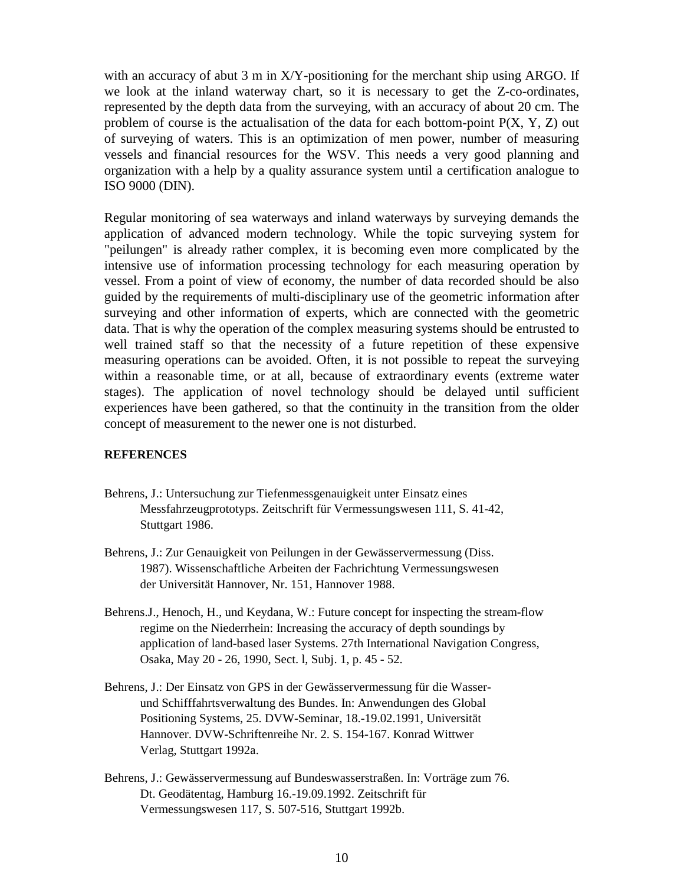with an accuracy of abut 3 m in  $X/Y$ -positioning for the merchant ship using ARGO. If we look at the inland waterway chart, so it is necessary to get the Z-co-ordinates, represented by the depth data from the surveying, with an accuracy of about 20 cm. The problem of course is the actualisation of the data for each bottom-point  $P(X, Y, Z)$  out of surveying of waters. This is an optimization of men power, number of measuring vessels and financial resources for the WSV. This needs a very good planning and organization with a help by a quality assurance system until a certification analogue to ISO 9000 (DIN).

Regular monitoring of sea waterways and inland waterways by surveying demands the application of advanced modern technology. While the topic surveying system for "peilungen" is already rather complex, it is becoming even more complicated by the intensive use of information processing technology for each measuring operation by vessel. From a point of view of economy, the number of data recorded should be also guided by the requirements of multi-disciplinary use of the geometric information after surveying and other information of experts, which are connected with the geometric data. That is why the operation of the complex measuring systems should be entrusted to well trained staff so that the necessity of a future repetition of these expensive measuring operations can be avoided. Often, it is not possible to repeat the surveying within a reasonable time, or at all, because of extraordinary events (extreme water stages). The application of novel technology should be delayed until sufficient experiences have been gathered, so that the continuity in the transition from the older concept of measurement to the newer one is not disturbed.

#### **REFERENCES**

- Behrens, J.: Untersuchung zur Tiefenmessgenauigkeit unter Einsatz eines Messfahrzeugprototyps. Zeitschrift für Vermessungswesen 111, S. 41-42, Stuttgart 1986.
- Behrens, J.: Zur Genauigkeit von Peilungen in der Gewässervermessung (Diss. 1987). Wissenschaftliche Arbeiten der Fachrichtung Vermessungswesen der Universität Hannover, Nr. 151, Hannover 1988.
- Behrens.J., Henoch, H., und Keydana, W.: Future concept for inspecting the stream-flow regime on the Niederrhein: Increasing the accuracy of depth soundings by application of land-based laser Systems. 27th International Navigation Congress, Osaka, May 20 - 26, 1990, Sect. l, Subj. 1, p. 45 - 52.
- Behrens, J.: Der Einsatz von GPS in der Gewässervermessung für die Wasserund Schifffahrtsverwaltung des Bundes. In: Anwendungen des Global Positioning Systems, 25. DVW-Seminar, 18.-19.02.1991, Universität Hannover. DVW-Schriftenreihe Nr. 2. S. 154-167. Konrad Wittwer Verlag, Stuttgart 1992a.
- Behrens, J.: Gewässervermessung auf Bundeswasserstraßen. In: Vorträge zum 76. Dt. Geodätentag, Hamburg 16.-19.09.1992. Zeitschrift für Vermessungswesen 117, S. 507-516, Stuttgart 1992b.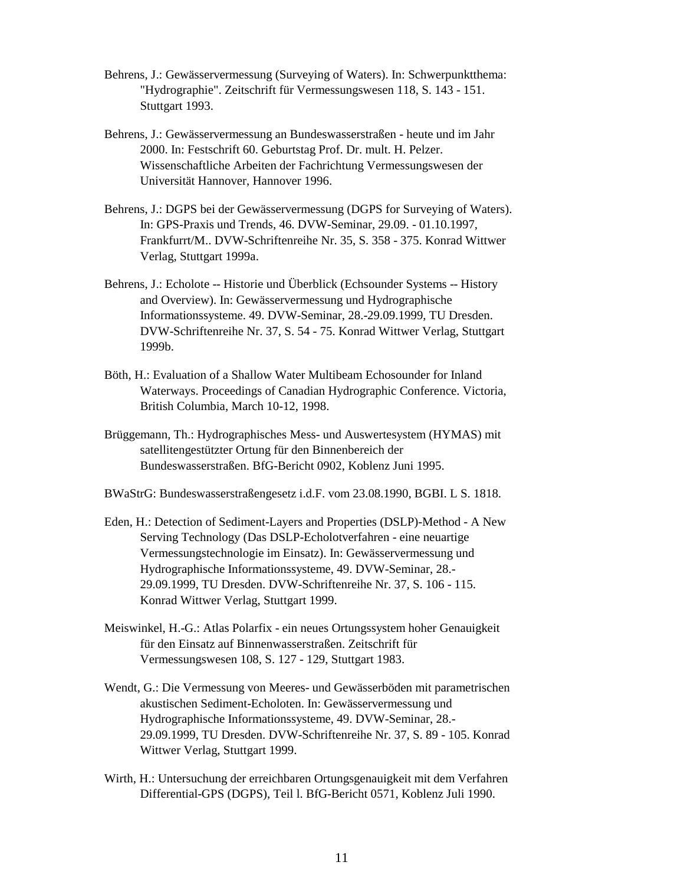- Behrens, J.: Gewässervermessung (Surveying of Waters). In: Schwerpunktthema: "Hydrographie". Zeitschrift für Vermessungswesen 118, S. 143 - 151. Stuttgart 1993.
- Behrens, J.: Gewässervermessung an Bundeswasserstraßen heute und im Jahr 2000. In: Festschrift 60. Geburtstag Prof. Dr. mult. H. Pelzer. Wissenschaftliche Arbeiten der Fachrichtung Vermessungswesen der Universität Hannover, Hannover 1996.
- Behrens, J.: DGPS bei der Gewässervermessung (DGPS for Surveying of Waters). In: GPS-Praxis und Trends, 46. DVW-Seminar, 29.09. - 01.10.1997, Frankfurrt/M.. DVW-Schriftenreihe Nr. 35, S. 358 - 375. Konrad Wittwer Verlag, Stuttgart 1999a.
- Behrens, J.: Echolote -- Historie und Überblick (Echsounder Systems -- History and Overview). In: Gewässervermessung und Hydrographische Informationssysteme. 49. DVW-Seminar, 28.-29.09.1999, TU Dresden. DVW-Schriftenreihe Nr. 37, S. 54 - 75. Konrad Wittwer Verlag, Stuttgart 1999b.
- Böth, H.: Evaluation of a Shallow Water Multibeam Echosounder for Inland Waterways. Proceedings of Canadian Hydrographic Conference. Victoria, British Columbia, March 10-12, 1998.
- Brüggemann, Th.: Hydrographisches Mess- und Auswertesystem (HYMAS) mit satellitengestützter Ortung für den Binnenbereich der Bundeswasserstraßen. BfG-Bericht 0902, Koblenz Juni 1995.
- BWaStrG: Bundeswasserstraßengesetz i.d.F. vom 23.08.1990, BGBI. L S. 1818.
- Eden, H.: Detection of Sediment-Layers and Properties (DSLP)-Method A New Serving Technology (Das DSLP-Echolotverfahren - eine neuartige Vermessungstechnologie im Einsatz). In: Gewässervermessung und Hydrographische Informationssysteme, 49. DVW-Seminar, 28.- 29.09.1999, TU Dresden. DVW-Schriftenreihe Nr. 37, S. 106 - 115. Konrad Wittwer Verlag, Stuttgart 1999.
- Meiswinkel, H.-G.: Atlas Polarfix ein neues Ortungssystem hoher Genauigkeit für den Einsatz auf Binnenwasserstraßen. Zeitschrift für Vermessungswesen 108, S. 127 - 129, Stuttgart 1983.
- Wendt, G.: Die Vermessung von Meeres- und Gewässerböden mit parametrischen akustischen Sediment-Echoloten. In: Gewässervermessung und Hydrographische Informationssysteme, 49. DVW-Seminar, 28.- 29.09.1999, TU Dresden. DVW-Schriftenreihe Nr. 37, S. 89 - 105. Konrad Wittwer Verlag, Stuttgart 1999.
- Wirth, H.: Untersuchung der erreichbaren Ortungsgenauigkeit mit dem Verfahren Differential-GPS (DGPS), Teil l. BfG-Bericht 0571, Koblenz Juli 1990.